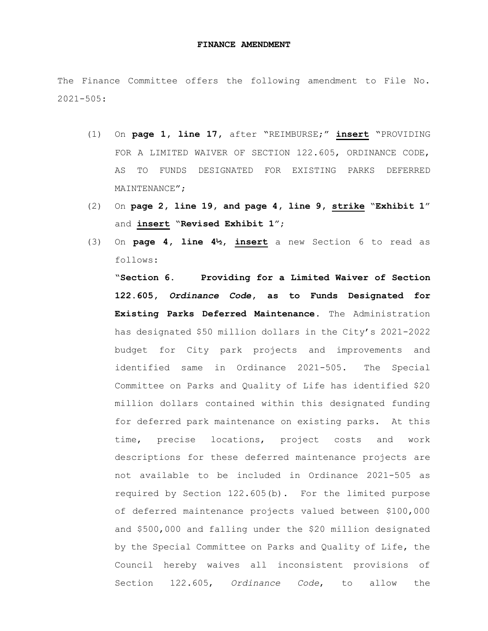## **FINANCE AMENDMENT**

The Finance Committee offers the following amendment to File No. 2021-505:

- (1) On **page 1, line 17,** after "REIMBURSE;" **insert** "PROVIDING FOR A LIMITED WAIVER OF SECTION 122.605, ORDINANCE CODE, AS TO FUNDS DESIGNATED FOR EXISTING PARKS DEFERRED MAINTENANCE";
- (2) On **page 2, line 19, and page 4, line 9, strike** "**Exhibit 1**" and **insert** "**Revised Exhibit 1**";
- (3) On **page 4, line 4½, insert** a new Section 6 to read as follows:

"**Section 6. Providing for a Limited Waiver of Section 122.605,** *Ordinance Code***, as to Funds Designated for Existing Parks Deferred Maintenance.** The Administration has designated \$50 million dollars in the City's 2021-2022 budget for City park projects and improvements and identified same in Ordinance 2021-505. The Special Committee on Parks and Quality of Life has identified \$20 million dollars contained within this designated funding for deferred park maintenance on existing parks. At this time, precise locations, project costs and work descriptions for these deferred maintenance projects are not available to be included in Ordinance 2021-505 as required by Section 122.605(b). For the limited purpose of deferred maintenance projects valued between \$100,000 and \$500,000 and falling under the \$20 million designated by the Special Committee on Parks and Quality of Life, the Council hereby waives all inconsistent provisions of Section 122.605, *Ordinance Code*, to allow the